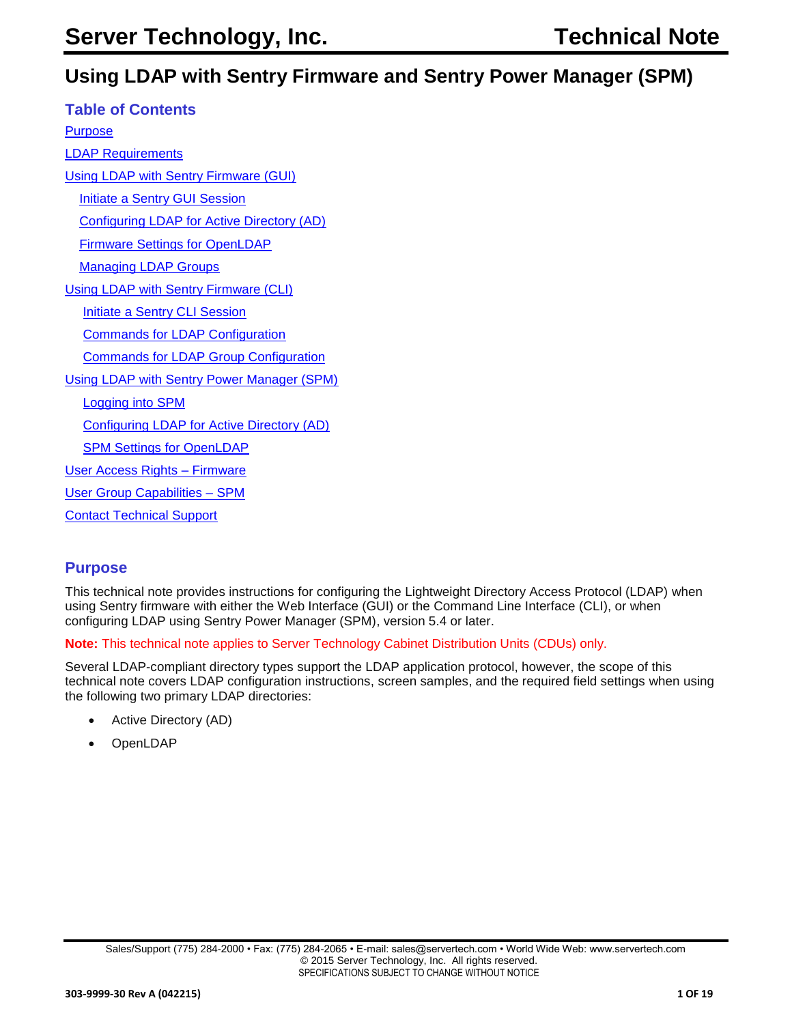# **Using LDAP with Sentry Firmware and Sentry Power Manager (SPM)**

| <b>Table of Contents</b>                          |
|---------------------------------------------------|
| <u>Purpose</u>                                    |
| <b>LDAP Requirements</b>                          |
| <b>Using LDAP with Sentry Firmware (GUI)</b>      |
| <b>Initiate a Sentry GUI Session</b>              |
| <b>Configuring LDAP for Active Directory (AD)</b> |
| <b>Firmware Settings for OpenLDAP</b>             |
| <b>Managing LDAP Groups</b>                       |
| Using LDAP with Sentry Firmware (CLI)             |
| <b>Initiate a Sentry CLI Session</b>              |
| <b>Commands for LDAP Configuration</b>            |
| <b>Commands for LDAP Group Configuration</b>      |
| <b>Using LDAP with Sentry Power Manager (SPM)</b> |
| <b>Logging into SPM</b>                           |
| <b>Configuring LDAP for Active Directory (AD)</b> |
| <b>SPM Settings for OpenLDAP</b>                  |
| User Access Rights - Firmware                     |
| <b>User Group Capabilities - SPM</b>              |
| <b>Contact Technical Support</b>                  |

# <span id="page-0-0"></span>**Purpose**

This technical note provides instructions for configuring the Lightweight Directory Access Protocol (LDAP) when using Sentry firmware with either the Web Interface (GUI) or the Command Line Interface (CLI), or when configuring LDAP using Sentry Power Manager (SPM), version 5.4 or later.

**Note:** This technical note applies to Server Technology Cabinet Distribution Units (CDUs) only.

Several LDAP-compliant directory types support the LDAP application protocol, however, the scope of this technical note covers LDAP configuration instructions, screen samples, and the required field settings when using the following two primary LDAP directories:

- Active Directory (AD)
- **OpenLDAP**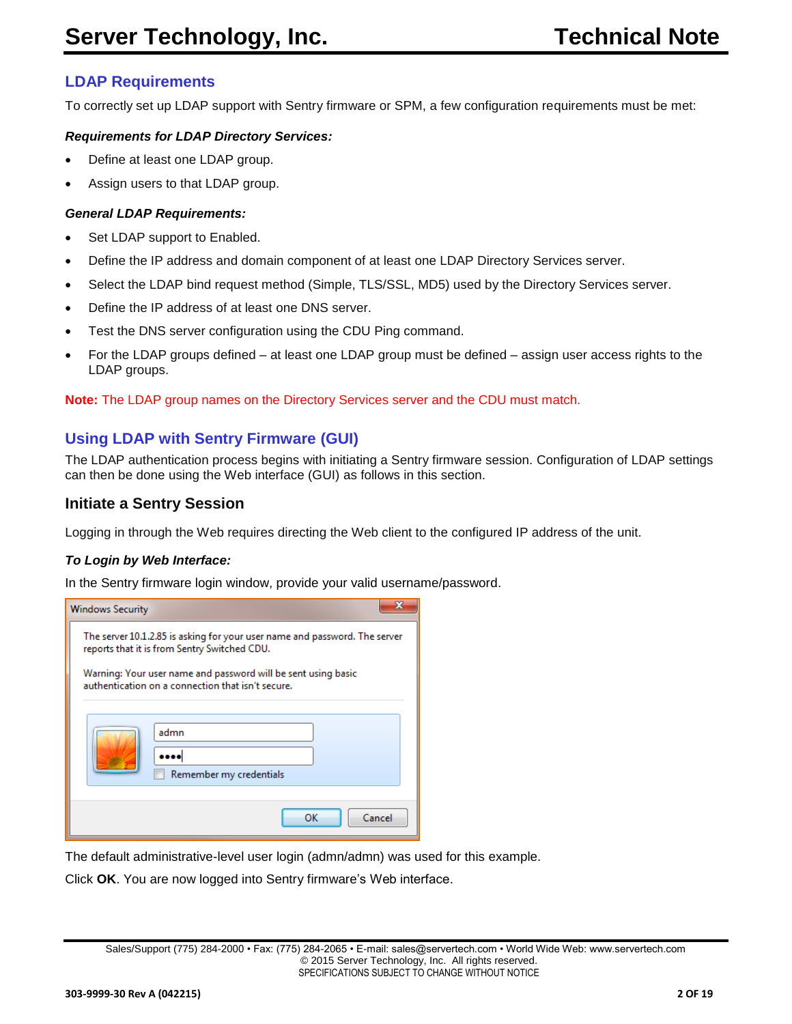# <span id="page-1-0"></span>**LDAP Requirements**

To correctly set up LDAP support with Sentry firmware or SPM, a few configuration requirements must be met:

#### *Requirements for LDAP Directory Services:*

- Define at least one LDAP group.
- Assign users to that LDAP group.

#### *General LDAP Requirements:*

- Set LDAP support to Enabled.
- Define the IP address and domain component of at least one LDAP Directory Services server.
- Select the LDAP bind request method (Simple, TLS/SSL, MD5) used by the Directory Services server.
- Define the IP address of at least one DNS server.
- Test the DNS server configuration using the CDU Ping command.
- For the LDAP groups defined at least one LDAP group must be defined assign user access rights to the LDAP groups.

**Note:** The LDAP group names on the Directory Services server and the CDU must match.

# <span id="page-1-1"></span>**Using LDAP with Sentry Firmware (GUI)**

The LDAP authentication process begins with initiating a Sentry firmware session. Configuration of LDAP settings can then be done using the Web interface (GUI) as follows in this section.

#### <span id="page-1-2"></span>**Initiate a Sentry Session**

Logging in through the Web requires directing the Web client to the configured IP address of the unit.

#### *To Login by Web Interface:*

In the Sentry firmware login window, provide your valid username/password.

| <b>Windows Security</b>                                                                                                    |                                                                                                                    |  |  |  |
|----------------------------------------------------------------------------------------------------------------------------|--------------------------------------------------------------------------------------------------------------------|--|--|--|
| The server 10.1.2.85 is asking for your user name and password. The server<br>reports that it is from Sentry Switched CDU. |                                                                                                                    |  |  |  |
|                                                                                                                            | Warning: Your user name and password will be sent using basic<br>authentication on a connection that isn't secure. |  |  |  |
|                                                                                                                            | admn                                                                                                               |  |  |  |
|                                                                                                                            | Remember my credentials                                                                                            |  |  |  |
|                                                                                                                            | OK<br>Cancel                                                                                                       |  |  |  |

The default administrative-level user login (admn/admn) was used for this example.

Click **OK**. You are now logged into Sentry firmware's Web interface.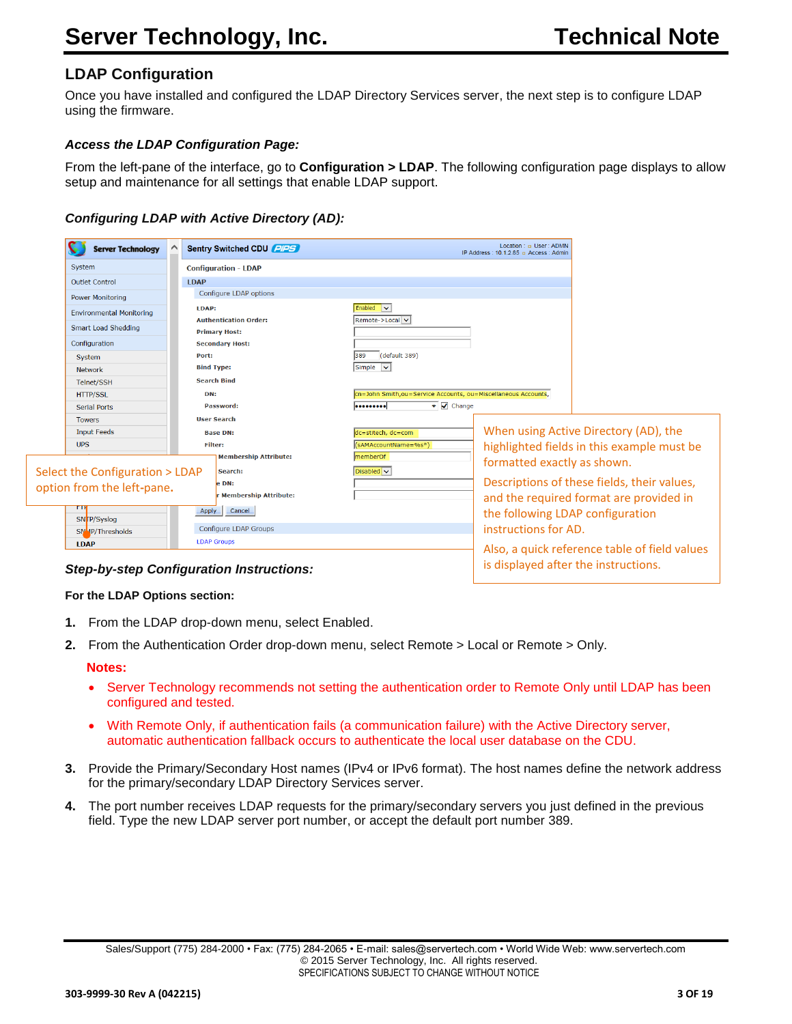# **LDAP Configuration**

Once you have installed and configured the LDAP Directory Services server, the next step is to configure LDAP using the firmware.

#### *Access the LDAP Configuration Page:*

From the left-pane of the interface, go to **Configuration > LDAP**. The following configuration page displays to allow setup and maintenance for all settings that enable LDAP support.

#### <span id="page-2-0"></span>*Configuring LDAP with Active Directory (AD):*

| <b>Server Technology</b>        | Sentry Switched CDU PIPS                       | Location: <b>p</b> User: ADMN<br>IP Address: 10.1.2.85 a Access: Admin                 |
|---------------------------------|------------------------------------------------|----------------------------------------------------------------------------------------|
| System                          | <b>Configuration - LDAP</b>                    |                                                                                        |
| <b>Outlet Control</b>           | <b>LDAP</b>                                    |                                                                                        |
| <b>Power Monitoring</b>         | Configure LDAP options                         |                                                                                        |
| <b>Environmental Monitoring</b> | LDAP:                                          | Enabled v                                                                              |
| <b>Smart Load Shedding</b>      | <b>Authentication Order:</b>                   | Remote->Local v                                                                        |
| Configuration                   | <b>Primary Host:</b><br><b>Secondary Host:</b> |                                                                                        |
| System                          | Port:                                          | 389<br>(default 389)                                                                   |
| <b>Network</b>                  | <b>Bind Type:</b>                              | Simple v                                                                               |
| Telnet/SSH                      | <b>Search Bind</b>                             |                                                                                        |
| <b>HTTP/SSL</b>                 | DN:                                            | cn=John Smith, ou=Service Accounts, ou=Miscellaneous Accounts,                         |
| Serial Ports                    | Password:                                      | $\bullet$ $\triangledown$ Change<br>                                                   |
| <b>Towers</b>                   | <b>User Search</b>                             |                                                                                        |
| <b>Input Feeds</b>              | <b>Base DN:</b>                                | When using Active Directory (AD), the<br>dc=stitech, dc=com                            |
| <b>UPS</b>                      | <b>Filter:</b>                                 | (sAMAccountName=%s*)<br>highlighted fields in this example must be                     |
|                                 | <b>Membership Attribute:</b>                   | memberOf<br>formatted exactly as shown.                                                |
| Select the Configuration > LDAP | Search:                                        | Disabled v                                                                             |
| option from the left-pane.      | e DN:<br>r Membership Attribute:               | Descriptions of these fields, their values,<br>and the required format are provided in |
| SNTP/Syslog                     | Apply<br>Cancel                                | the following LDAP configuration                                                       |
| SNMP/Thresholds                 | <b>Configure LDAP Groups</b>                   | instructions for AD.                                                                   |
| <b>LDAP</b>                     | <b>LDAP Groups</b>                             | Also, a quick reference table of field values                                          |

#### **For the LDAP Options section:**

- **1.** From the LDAP drop-down menu, select Enabled.
- **2.** From the Authentication Order drop-down menu, select Remote > Local or Remote > Only.

#### **Notes:**

- Server Technology recommends not setting the authentication order to Remote Only until LDAP has been configured and tested.
- With Remote Only, if authentication fails (a communication failure) with the Active Directory server, automatic authentication fallback occurs to authenticate the local user database on the CDU.
- **3.** Provide the Primary/Secondary Host names (IPv4 or IPv6 format). The host names define the network address for the primary/secondary LDAP Directory Services server.
- **4.** The port number receives LDAP requests for the primary/secondary servers you just defined in the previous field. Type the new LDAP server port number, or accept the default port number 389.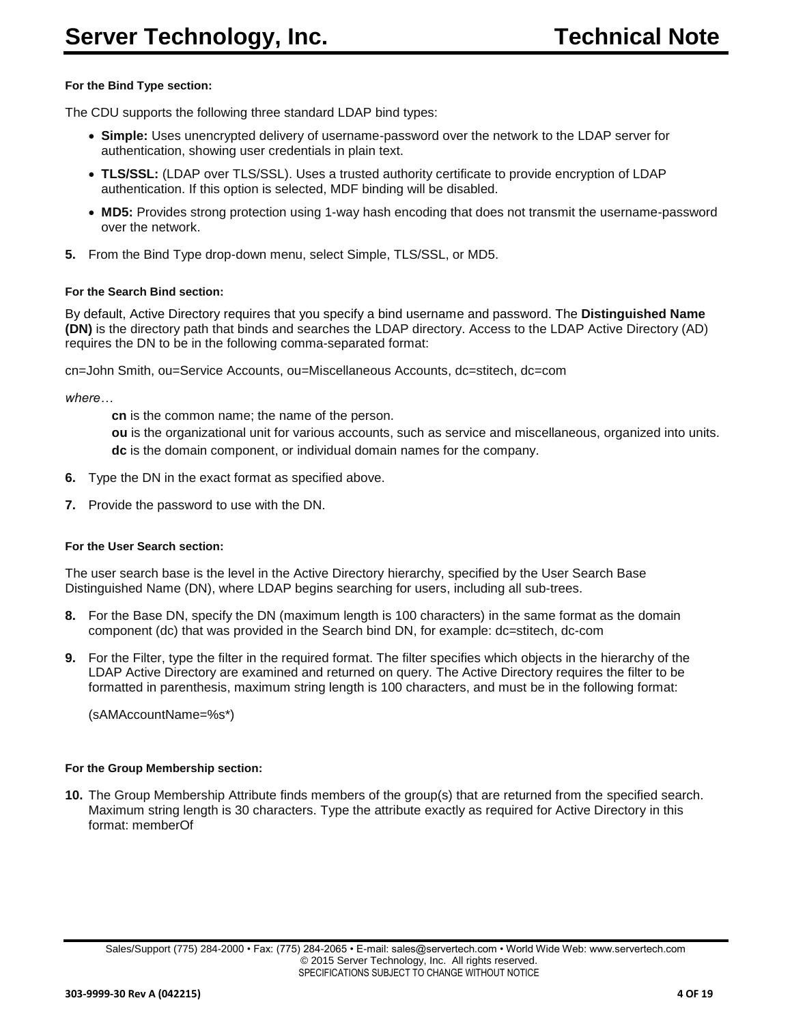#### **For the Bind Type section:**

The CDU supports the following three standard LDAP bind types:

- **Simple:** Uses unencrypted delivery of username-password over the network to the LDAP server for authentication, showing user credentials in plain text.
- **TLS/SSL:** (LDAP over TLS/SSL). Uses a trusted authority certificate to provide encryption of LDAP authentication. If this option is selected, MDF binding will be disabled.
- **MD5:** Provides strong protection using 1-way hash encoding that does not transmit the username-password over the network.
- **5.** From the Bind Type drop-down menu, select Simple, TLS/SSL, or MD5.

#### **For the Search Bind section:**

By default, Active Directory requires that you specify a bind username and password. The **Distinguished Name (DN)** is the directory path that binds and searches the LDAP directory. Access to the LDAP Active Directory (AD) requires the DN to be in the following comma-separated format:

cn=John Smith, ou=Service Accounts, ou=Miscellaneous Accounts, dc=stitech, dc=com

*where…*

**cn** is the common name; the name of the person.

**ou** is the organizational unit for various accounts, such as service and miscellaneous, organized into units. **dc** is the domain component, or individual domain names for the company.

- **6.** Type the DN in the exact format as specified above.
- **7.** Provide the password to use with the DN.

#### **For the User Search section:**

The user search base is the level in the Active Directory hierarchy, specified by the User Search Base Distinguished Name (DN), where LDAP begins searching for users, including all sub-trees.

- **8.** For the Base DN, specify the DN (maximum length is 100 characters) in the same format as the domain component (dc) that was provided in the Search bind DN, for example: dc=stitech, dc-com
- **9.** For the Filter, type the filter in the required format. The filter specifies which objects in the hierarchy of the LDAP Active Directory are examined and returned on query. The Active Directory requires the filter to be formatted in parenthesis, maximum string length is 100 characters, and must be in the following format:

(sAMAccountName=%s\*)

#### **For the Group Membership section:**

**10.** The Group Membership Attribute finds members of the group(s) that are returned from the specified search. Maximum string length is 30 characters. Type the attribute exactly as required for Active Directory in this format: memberOf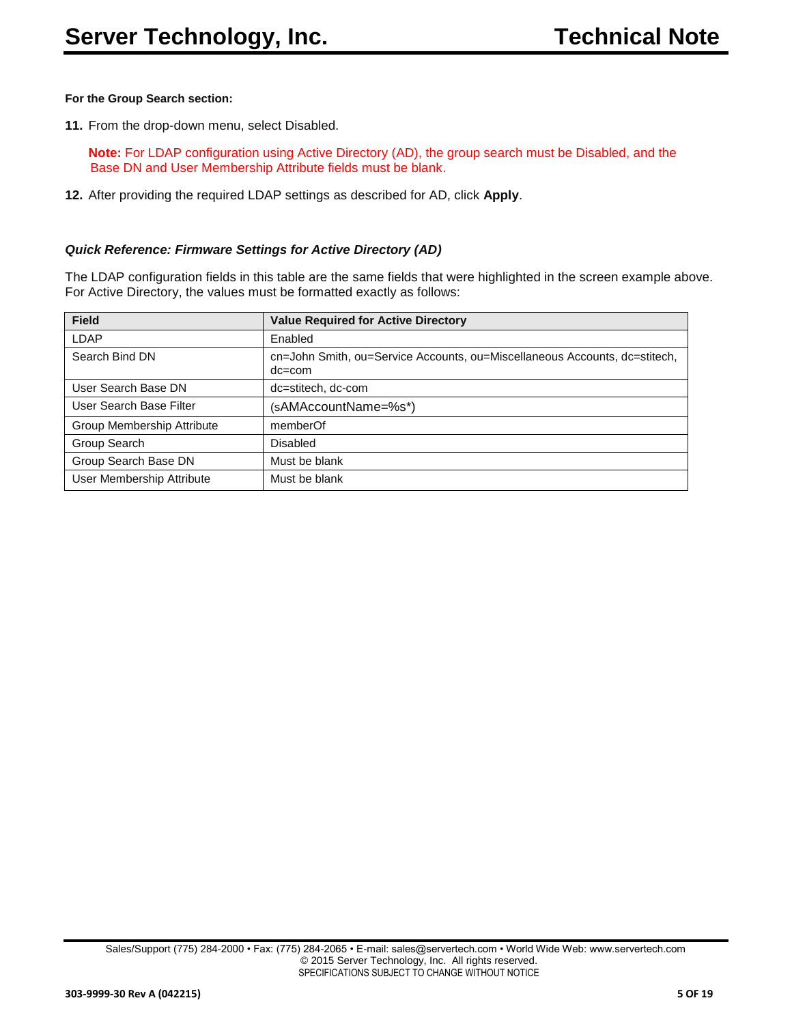#### **For the Group Search section:**

**11.** From the drop-down menu, select Disabled.

**Note:** For LDAP configuration using Active Directory (AD), the group search must be Disabled, and the Base DN and User Membership Attribute fields must be blank.

**12.** After providing the required LDAP settings as described for AD, click **Apply**.

#### <span id="page-4-0"></span>*Quick Reference: Firmware Settings for Active Directory (AD)*

The LDAP configuration fields in this table are the same fields that were highlighted in the screen example above. For Active Directory, the values must be formatted exactly as follows:

| <b>Field</b>               | <b>Value Required for Active Directory</b>                                               |
|----------------------------|------------------------------------------------------------------------------------------|
| LDAP                       | Enabled                                                                                  |
| Search Bind DN             | cn=John Smith, ou=Service Accounts, ou=Miscellaneous Accounts, dc=stitech,<br>$dc = com$ |
| User Search Base DN        | dc=stitech, dc-com                                                                       |
| User Search Base Filter    | (sAMAccountName=%s*)                                                                     |
| Group Membership Attribute | memberOf                                                                                 |
| Group Search               | <b>Disabled</b>                                                                          |
| Group Search Base DN       | Must be blank                                                                            |
| User Membership Attribute  | Must be blank                                                                            |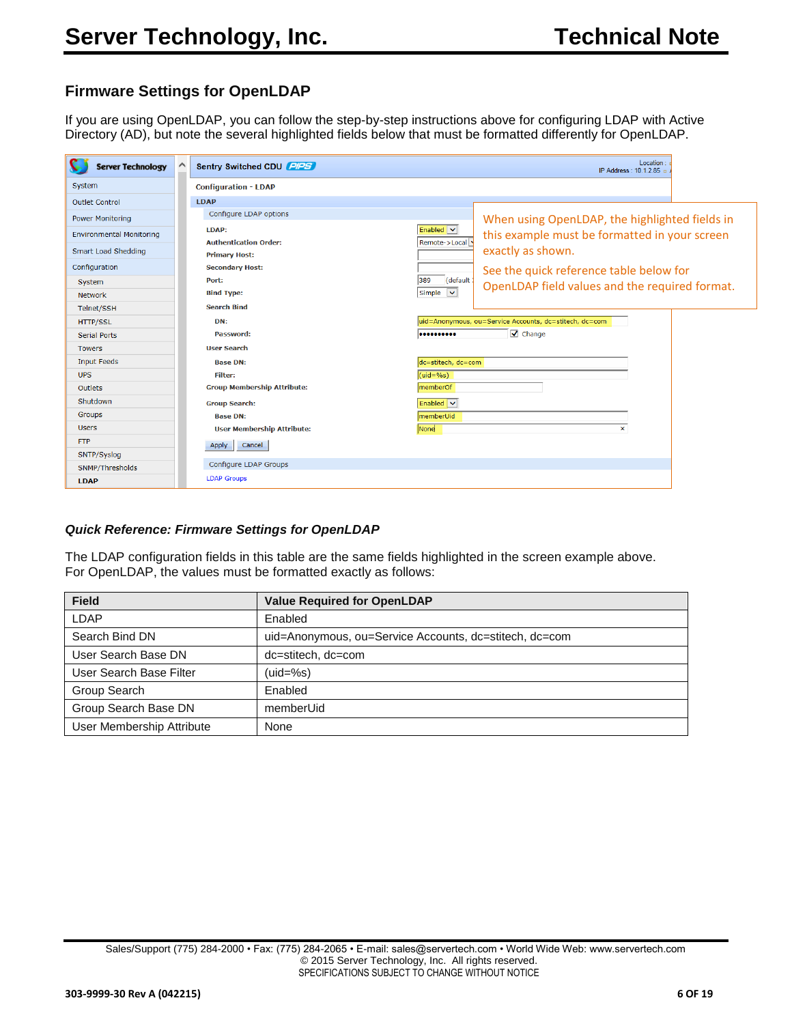# **Firmware Settings for OpenLDAP**

If you are using OpenLDAP, you can follow the step-by-step instructions above for configuring LDAP with Active Directory (AD), but note the several highlighted fields below that must be formatted differently for OpenLDAP.

| <b>Server Technology</b>        | $\wedge$<br>Sentry Switched CDU PIPS                 | Location<br>IP Address: 10.1.2.85 p                               |
|---------------------------------|------------------------------------------------------|-------------------------------------------------------------------|
| System                          | <b>Configuration - LDAP</b>                          |                                                                   |
| Outlet Control                  | <b>LDAP</b>                                          |                                                                   |
| <b>Power Monitoring</b>         | Configure LDAP options                               | When using OpenLDAP, the highlighted fields in                    |
| <b>Environmental Monitoring</b> | LDAP:                                                | Enabled v<br>this example must be formatted in your screen        |
| Smart Load Shedding             | <b>Authentication Order:</b><br><b>Primary Host:</b> | Remote->Local<br>exactly as shown.                                |
| Configuration                   | <b>Secondary Host:</b>                               | See the quick reference table below for                           |
| System                          | Port:                                                | (default<br>389<br>OpenLDAP field values and the required format. |
| <b>Network</b>                  | <b>Bind Type:</b>                                    | Simple v                                                          |
| Telnet/SSH                      | <b>Search Bind</b>                                   |                                                                   |
| <b>HTTP/SSL</b>                 | DN:                                                  | uid=Anonymous, ou=Service Accounts, dc=stitech, dc=com            |
| Serial Ports                    | Password:                                            | $\sqrt{\phantom{a}}$ Change<br>                                   |
| <b>Towers</b>                   | <b>User Search</b>                                   |                                                                   |
| <b>Input Feeds</b>              | <b>Base DN:</b>                                      | dc=stitech, dc=com                                                |
| <b>UPS</b>                      | Filter:                                              | $(iid = %s)$                                                      |
| Outlets                         | <b>Group Membership Attribute:</b>                   | memberOf                                                          |
| Shutdown                        | <b>Group Search:</b>                                 | Enabled v                                                         |
| Groups                          | <b>Base DN:</b>                                      | memberUid                                                         |
| <b>Users</b>                    | <b>User Membership Attribute:</b>                    | None<br>×                                                         |
| <b>FTP</b>                      | Apply<br>Cancel                                      |                                                                   |
| SNTP/Syslog                     |                                                      |                                                                   |
| SNMP/Thresholds                 | <b>Configure LDAP Groups</b>                         |                                                                   |
| <b>LDAP</b>                     | <b>LDAP Groups</b>                                   |                                                                   |

#### *Quick Reference: Firmware Settings for OpenLDAP*

The LDAP configuration fields in this table are the same fields highlighted in the screen example above. For OpenLDAP, the values must be formatted exactly as follows:

| <b>Field</b>              | <b>Value Required for OpenLDAP</b>                     |
|---------------------------|--------------------------------------------------------|
| LDAP                      | Enabled                                                |
| Search Bind DN            | uid=Anonymous, ou=Service Accounts, dc=stitech, dc=com |
| User Search Base DN       | dc=stitech, dc=com                                     |
| User Search Base Filter   | $(uid=%s)$                                             |
| Group Search              | Enabled                                                |
| Group Search Base DN      | memberUid                                              |
| User Membership Attribute | None                                                   |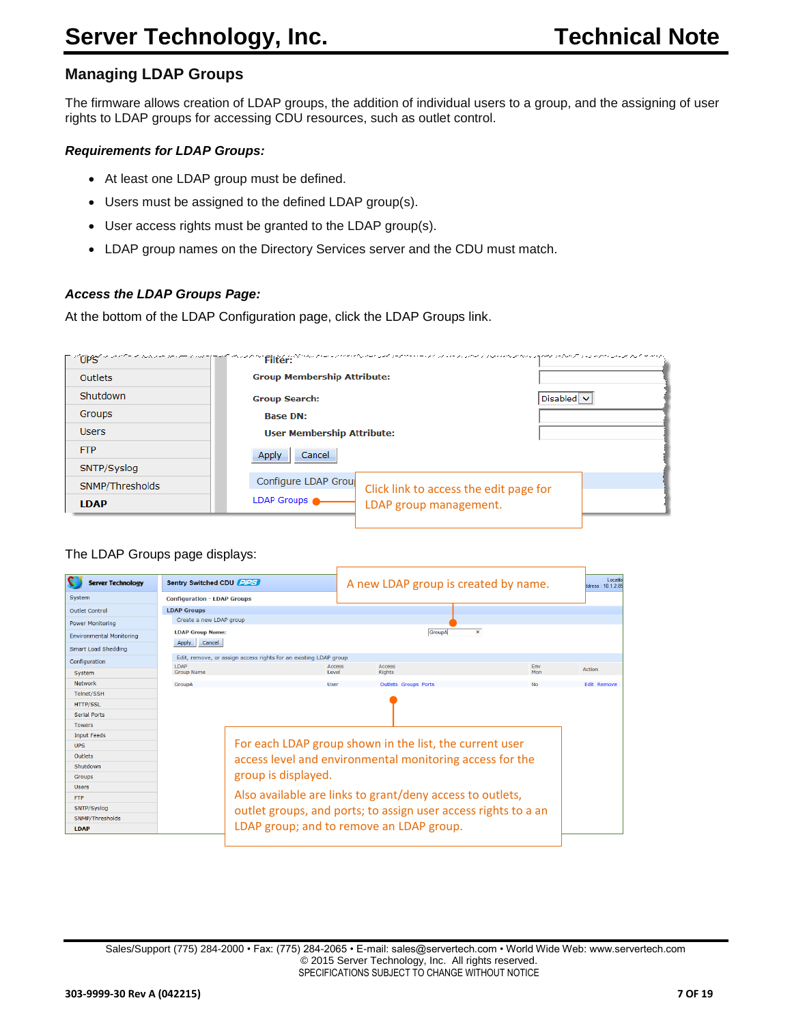# <span id="page-6-0"></span>**Managing LDAP Groups**

The firmware allows creation of LDAP groups, the addition of individual users to a group, and the assigning of user rights to LDAP groups for accessing CDU resources, such as outlet control.

#### *Requirements for LDAP Groups:*

- At least one LDAP group must be defined.
- Users must be assigned to the defined LDAP group(s).
- User access rights must be granted to the LDAP group(s).
- LDAP group names on the Directory Services server and the CDU must match.

#### *Access the LDAP Groups Page:*

At the bottom of the LDAP Configuration page, click the LDAP Groups link.

|                 | FinOPS in ont-in the community of monor relation to communication on a community and considerably process and community of a copy |                 |
|-----------------|-----------------------------------------------------------------------------------------------------------------------------------|-----------------|
| <b>Outlets</b>  | <b>Group Membership Attribute:</b>                                                                                                |                 |
| Shutdown        | <b>Group Search:</b>                                                                                                              | Disabled $\vee$ |
| Groups          | <b>Base DN:</b>                                                                                                                   |                 |
| <b>Users</b>    | <b>User Membership Attribute:</b>                                                                                                 |                 |
| <b>FTP</b>      | Cancel<br>Apply                                                                                                                   |                 |
| SNTP/Syslog     |                                                                                                                                   |                 |
| SNMP/Thresholds | Configure LDAP Group<br>Click link to access the edit page for                                                                    |                 |
| <b>LDAP</b>     | LDAP Groups<br>LDAP group management.                                                                                             |                 |

#### The LDAP Groups page displays:

| <b>Server Technology</b>        | Sentry Switched CDU PIPS                                         |                     | A new LDAP group is created by name.                           |              | Locati<br>dress: 10.1.2.8 |
|---------------------------------|------------------------------------------------------------------|---------------------|----------------------------------------------------------------|--------------|---------------------------|
| System                          | <b>Configuration - LDAP Groups</b>                               |                     |                                                                |              |                           |
| Outlet Control                  | <b>LDAP Groups</b>                                               |                     |                                                                |              |                           |
| Power Monitoring                | Create a new LDAP group                                          |                     |                                                                |              |                           |
| <b>Environmental Monitoring</b> | <b>LDAP Group Name:</b>                                          |                     | GroupA                                                         | $\mathbf{x}$ |                           |
| Smart Load Shedding             | Cancel<br>Apply                                                  |                     |                                                                |              |                           |
| Configuration                   | Edit, remove, or assign access rights for an existing LDAP group |                     |                                                                |              |                           |
| System                          | LDAP<br><b>Group Name</b>                                        | Access<br>Level     | <b>Access</b><br><b>Rights</b>                                 | Env<br>Mon   | Action                    |
| Network                         | GroupA                                                           | User                | <b>Outlets Groups Ports</b>                                    | <b>No</b>    | <b>Edit Remove</b>        |
| Telnet/SSH                      |                                                                  |                     |                                                                |              |                           |
| <b>HTTP/SSL</b>                 |                                                                  |                     |                                                                |              |                           |
| <b>Serial Ports</b>             |                                                                  |                     |                                                                |              |                           |
| <b>Towers</b>                   |                                                                  |                     |                                                                |              |                           |
| <b>Input Feeds</b>              |                                                                  |                     |                                                                |              |                           |
| <b>UPS</b>                      |                                                                  |                     | For each LDAP group shown in the list, the current user        |              |                           |
| <b>Outlets</b>                  |                                                                  |                     | access level and environmental monitoring access for the       |              |                           |
| Shutdown                        |                                                                  |                     |                                                                |              |                           |
| <b>Groups</b>                   |                                                                  | group is displayed. |                                                                |              |                           |
| <b>Users</b>                    |                                                                  |                     |                                                                |              |                           |
| <b>FTP</b>                      |                                                                  |                     | Also available are links to grant/deny access to outlets,      |              |                           |
| SNTP/Syslog                     |                                                                  |                     | outlet groups, and ports; to assign user access rights to a an |              |                           |
| SNMP/Thresholds                 |                                                                  |                     |                                                                |              |                           |
| <b>LDAP</b>                     |                                                                  |                     | LDAP group; and to remove an LDAP group.                       |              |                           |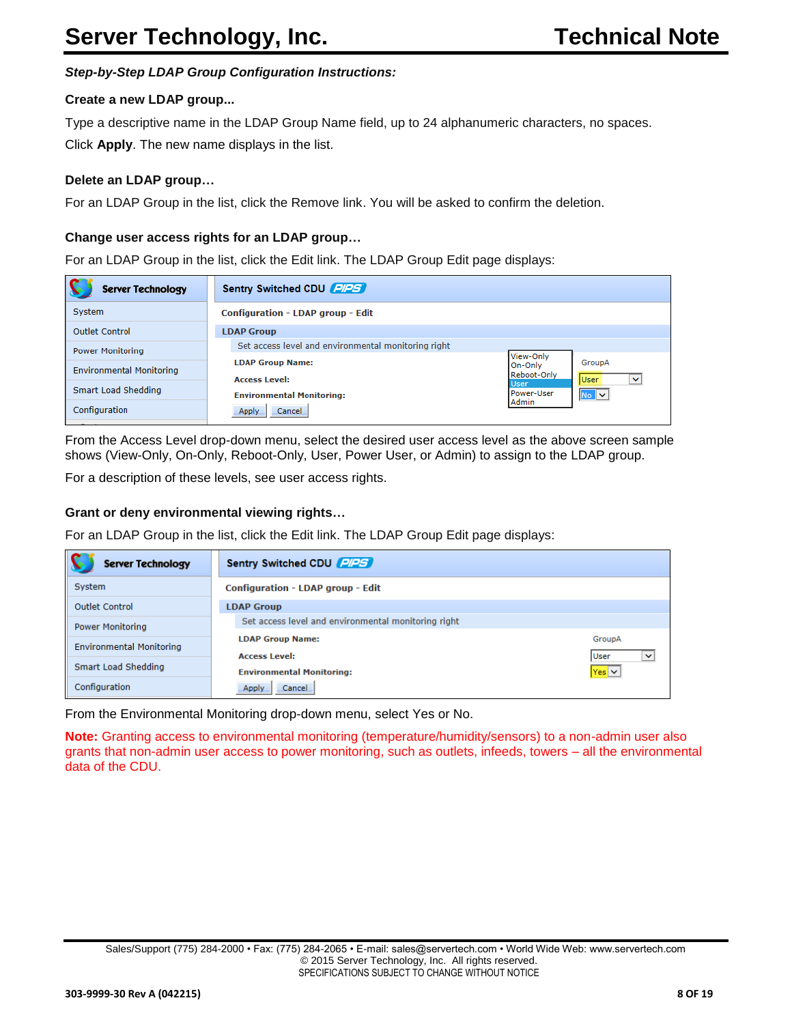#### *Step-by-Step LDAP Group Configuration Instructions:*

#### **Create a new LDAP group...**

Type a descriptive name in the LDAP Group Name field, up to 24 alphanumeric characters, no spaces. Click **Apply**. The new name displays in the list.

#### **Delete an LDAP group…**

For an LDAP Group in the list, click the Remove link. You will be asked to confirm the deletion.

#### **Change user access rights for an LDAP group…**

For an LDAP Group in the list, click the Edit link. The LDAP Group Edit page displays:

| <b>Server Technology</b>        | Sentry Switched CDU PIPS                                                                                                        |
|---------------------------------|---------------------------------------------------------------------------------------------------------------------------------|
| System                          | <b>Configuration - LDAP group - Edit</b>                                                                                        |
| <b>Outlet Control</b>           | <b>LDAP Group</b>                                                                                                               |
| <b>Power Monitoring</b>         | Set access level and environmental monitoring right                                                                             |
| <b>Environmental Monitoring</b> | View-Only<br><b>LDAP Group Name:</b><br>GroupA<br>On-Only<br>Reboot-Only<br><b>User</b><br><b>Access Level:</b><br>$\checkmark$ |
| Smart Load Shedding             | <b>User</b><br>Power-User<br>N <sub>0</sub><br><b>Environmental Monitoring:</b>                                                 |
| Configuration                   | Admin<br>Cancel<br>Apply                                                                                                        |

From the Access Level drop-down menu, select the desired user access level as the above screen sample shows (View-Only, On-Only, Reboot-Only, User, Power User, or Admin) to assign to the LDAP group.

For a description of these levels, see user access rights.

#### **Grant or deny environmental viewing rights…**

For an LDAP Group in the list, click the Edit link. The LDAP Group Edit page displays:

| <b>Server Technology</b>        | Sentry Switched CDU PIPS                                       |                          |  |  |
|---------------------------------|----------------------------------------------------------------|--------------------------|--|--|
| System                          | <b>Configuration - LDAP group - Edit</b>                       |                          |  |  |
| <b>Outlet Control</b>           | <b>LDAP Group</b>                                              |                          |  |  |
| <b>Power Monitoring</b>         | Set access level and environmental monitoring right            |                          |  |  |
| <b>Environmental Monitoring</b> | <b>LDAP Group Name:</b><br><b>User</b><br><b>Access Level:</b> | GroupA<br>$\checkmark$   |  |  |
| Smart Load Shedding             | <b>Environmental Monitoring:</b>                               | $\vert$ Yes $\vert \vee$ |  |  |
| Configuration                   | Cancel<br>Apply                                                |                          |  |  |

From the Environmental Monitoring drop-down menu, select Yes or No.

**Note:** Granting access to environmental monitoring (temperature/humidity/sensors) to a non-admin user also grants that non-admin user access to power monitoring, such as outlets, infeeds, towers – all the environmental data of the CDU.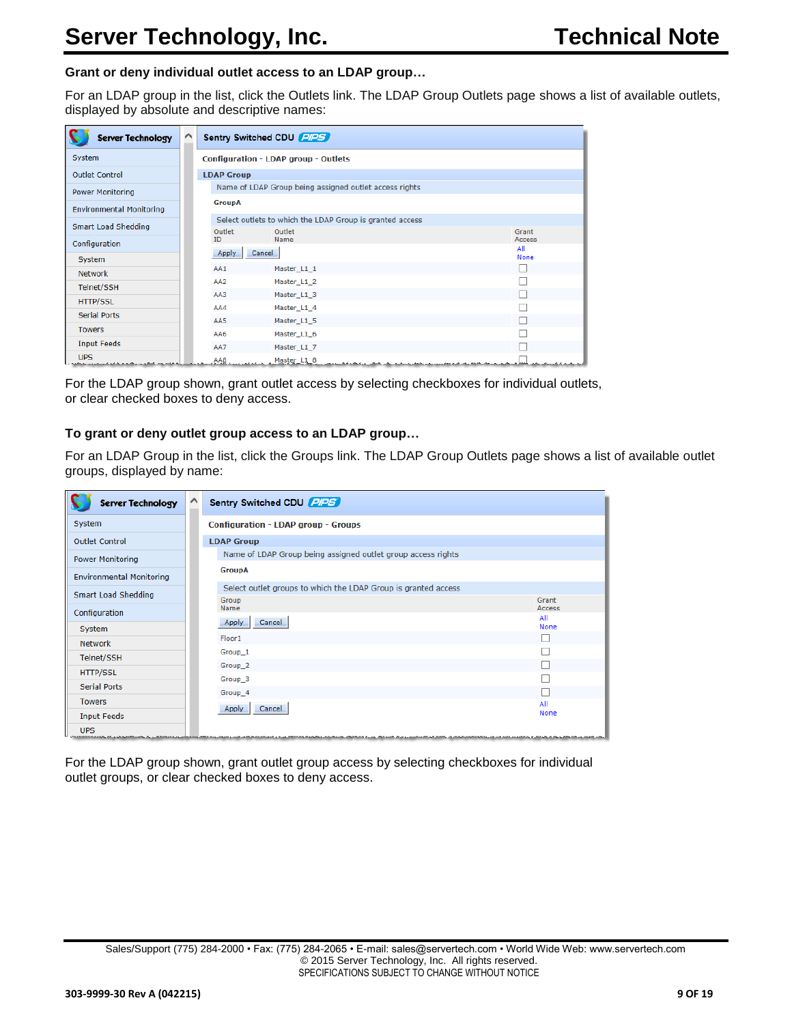#### **Grant or deny individual outlet access to an LDAP group…**

For an LDAP group in the list, click the Outlets link. The LDAP Group Outlets page shows a list of available outlets, displayed by absolute and descriptive names:

| <b>Server Technology</b>                                                   | ∧ |                   | Sentry Switched CDU PIPS                                                                                             |               |
|----------------------------------------------------------------------------|---|-------------------|----------------------------------------------------------------------------------------------------------------------|---------------|
| System                                                                     |   |                   | Configuration - LDAP group - Outlets                                                                                 |               |
| <b>Outlet Control</b>                                                      |   | <b>LDAP Group</b> |                                                                                                                      |               |
| <b>Power Monitoring</b>                                                    |   |                   | Name of LDAP Group being assigned outlet access rights                                                               |               |
| <b>Environmental Monitoring</b>                                            |   | <b>GroupA</b>     |                                                                                                                      |               |
| Smart Load Shedding                                                        |   | Outlet            | Select outlets to which the LDAP Group is granted access<br>Outlet                                                   | Grant         |
| Configuration                                                              |   | <b>ID</b>         | Name                                                                                                                 | Access<br>All |
| System                                                                     |   | Apply             | Cancel                                                                                                               | <b>None</b>   |
| <b>Network</b>                                                             |   | AA1               | Master_L1_1                                                                                                          |               |
| Telnet/SSH                                                                 |   | AA <sub>2</sub>   | Master_L1_2                                                                                                          |               |
| <b>HTTP/SSL</b>                                                            |   | AA3               | Master L1 3                                                                                                          |               |
| <b>Serial Ports</b>                                                        |   | AA4               | Master L1 4                                                                                                          |               |
|                                                                            |   | AA5               | Master L1 5                                                                                                          |               |
| <b>Towers</b>                                                              |   | AA6               | Master L1 6                                                                                                          |               |
| <b>Input Feeds</b>                                                         |   | AA7               | Master_L1_7                                                                                                          |               |
| <b>UPS</b><br>الی فقید و می استفاد در برگانهای فرمای دستمبردی برمنفورد برا |   |                   | الرابط المربع المستعلق الكلامة المقابل كالمتحدة والمستجدة والمقارب والمحاسبة المكانى الكاسلة والأمام المكاسبة وتعتوى |               |

For the LDAP group shown, grant outlet access by selecting checkboxes for individual outlets, or clear checked boxes to deny access.

#### **To grant or deny outlet group access to an LDAP group…**

For an LDAP Group in the list, click the Groups link. The LDAP Group Outlets page shows a list of available outlet groups, displayed by name:

| <b>Server Technology</b>        | $\curvearrowright$<br>Sentry Switched CDU PIPS                          |               |
|---------------------------------|-------------------------------------------------------------------------|---------------|
| System                          | <b>Configuration - LDAP group - Groups</b>                              |               |
| <b>Outlet Control</b>           | <b>LDAP Group</b>                                                       |               |
| <b>Power Monitoring</b>         | Name of LDAP Group being assigned outlet group access rights            |               |
| <b>Environmental Monitoring</b> | <b>GroupA</b>                                                           |               |
| Smart Load Shedding             | Select outlet groups to which the LDAP Group is granted access<br>Group | Grant         |
| Configuration                   | Name                                                                    | Access<br>All |
| System                          | Apply<br>Cancel                                                         | None          |
| <b>Network</b>                  | Floor1                                                                  |               |
| Telnet/SSH                      | Group_1                                                                 |               |
| HTTP/SSL                        | Group <sub>2</sub>                                                      |               |
| <b>Serial Ports</b>             | Group_3                                                                 |               |
| <b>Towers</b>                   | Group_4                                                                 |               |
| <b>Input Feeds</b>              | Apply<br>Cancel                                                         | All<br>None   |
| <b>UPS</b>                      |                                                                         |               |

For the LDAP group shown, grant outlet group access by selecting checkboxes for individual outlet groups, or clear checked boxes to deny access.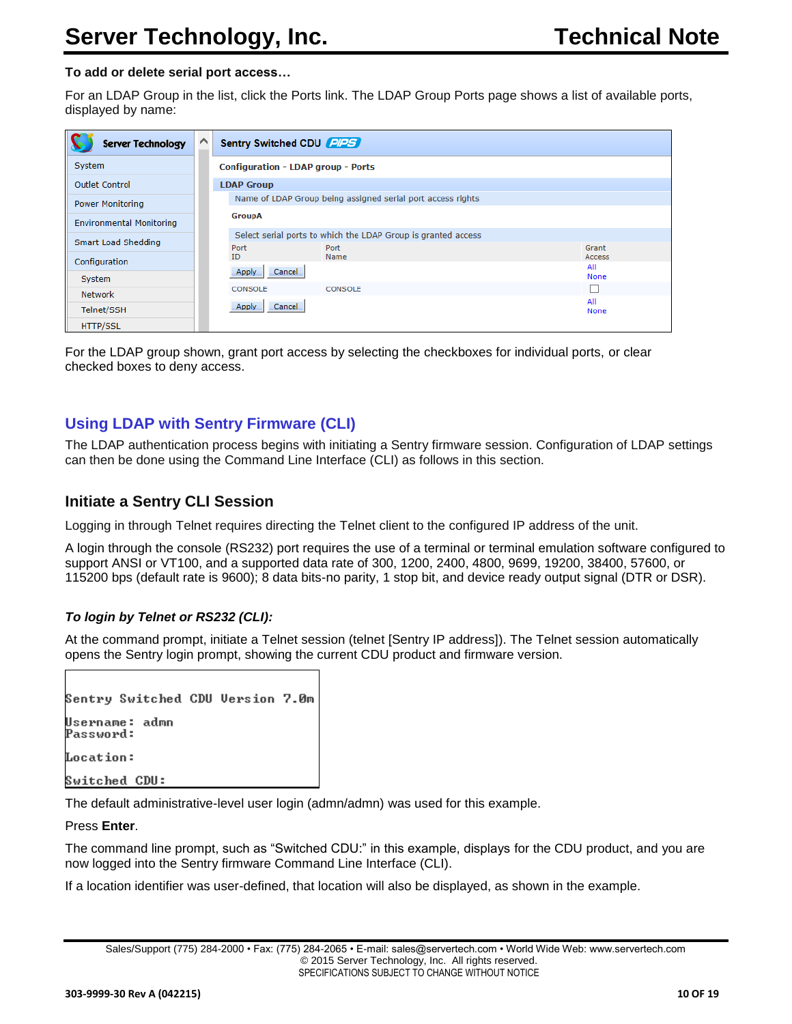#### **To add or delete serial port access…**

For an LDAP Group in the list, click the Ports link. The LDAP Group Ports page shows a list of available ports, displayed by name:

| <b>Server Technology</b>        | Sentry Switched CDU PIPS                                      |                 |
|---------------------------------|---------------------------------------------------------------|-----------------|
| System                          | <b>Configuration - LDAP group - Ports</b>                     |                 |
| <b>Outlet Control</b>           | <b>LDAP Group</b>                                             |                 |
| <b>Power Monitoring</b>         | Name of LDAP Group being assigned serial port access rights   |                 |
| <b>Environmental Monitoring</b> | GroupA                                                        |                 |
| Smart Load Shedding             | Select serial ports to which the LDAP Group is granted access |                 |
| Configuration                   | Port<br>Port<br>ID<br>Name                                    | Grant<br>Access |
| System                          | Cancel<br>Apply                                               | All<br>None     |
| <b>Network</b>                  | CONSOLE<br>CONSOLE                                            |                 |
| Telnet/SSH                      | Cancel<br>Apply                                               | All<br>None     |
| <b>HTTP/SSL</b>                 |                                                               |                 |

For the LDAP group shown, grant port access by selecting the checkboxes for individual ports, or clear checked boxes to deny access.

# <span id="page-9-0"></span>**Using LDAP with Sentry Firmware (CLI)**

The LDAP authentication process begins with initiating a Sentry firmware session. Configuration of LDAP settings can then be done using the Command Line Interface (CLI) as follows in this section.

### <span id="page-9-1"></span>**Initiate a Sentry CLI Session**

Logging in through Telnet requires directing the Telnet client to the configured IP address of the unit.

A login through the console (RS232) port requires the use of a terminal or terminal emulation software configured to support ANSI or VT100, and a supported data rate of 300, 1200, 2400, 4800, 9699, 19200, 38400, 57600, or 115200 bps (default rate is 9600); 8 data bits-no parity, 1 stop bit, and device ready output signal (DTR or DSR).

#### *To login by Telnet or RS232 (CLI):*

At the command prompt, initiate a Telnet session (telnet [Sentry IP address]). The Telnet session automatically opens the Sentry login prompt, showing the current CDU product and firmware version.

|               | Sentry Switched CDU Version 7.0m               |  |  |
|---------------|------------------------------------------------|--|--|
|               | Username: admn<br>Password:                    |  |  |
| Location:     |                                                |  |  |
| Switched CDU: |                                                |  |  |
|               | The default edministrative level user legin (a |  |  |

The default administrative-level user login (admn/admn) was used for this example.

Press **Enter**.

The command line prompt, such as "Switched CDU:" in this example, displays for the CDU product, and you are now logged into the Sentry firmware Command Line Interface (CLI).

If a location identifier was user-defined, that location will also be displayed, as shown in the example.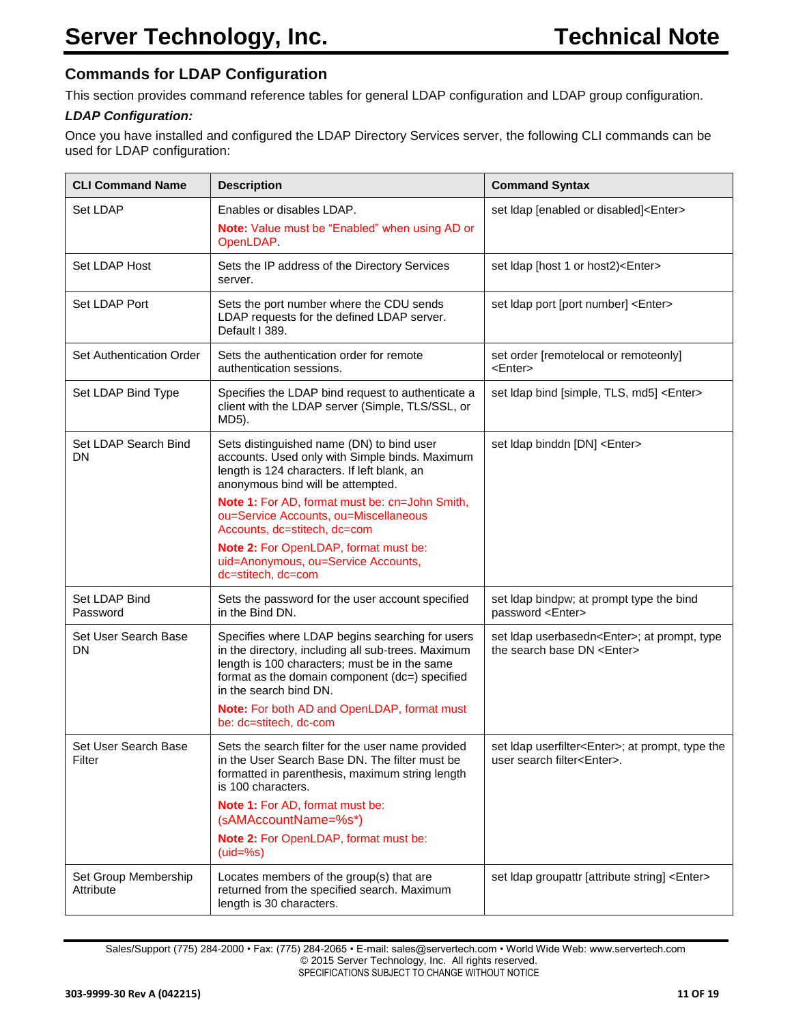# **Commands for LDAP Configuration**

This section provides command reference tables for general LDAP configuration and LDAP group configuration.

### <span id="page-10-0"></span>*LDAP Configuration:*

Once you have installed and configured the LDAP Directory Services server, the following CLI commands can be used for LDAP configuration:

| <b>CLI Command Name</b>           | <b>Description</b>                                                                                                                                                                                                                                                                                                                                                                                               | <b>Command Syntax</b>                                                                           |
|-----------------------------------|------------------------------------------------------------------------------------------------------------------------------------------------------------------------------------------------------------------------------------------------------------------------------------------------------------------------------------------------------------------------------------------------------------------|-------------------------------------------------------------------------------------------------|
| <b>Set LDAP</b>                   | Enables or disables LDAP.<br>Note: Value must be "Enabled" when using AD or<br>OpenLDAP.                                                                                                                                                                                                                                                                                                                         | set Idap [enabled or disabled] <enter></enter>                                                  |
| Set LDAP Host                     | Sets the IP address of the Directory Services<br>server.                                                                                                                                                                                                                                                                                                                                                         | set Idap [host 1 or host2) <enter></enter>                                                      |
| Set LDAP Port                     | Sets the port number where the CDU sends<br>LDAP requests for the defined LDAP server.<br>Default I 389.                                                                                                                                                                                                                                                                                                         | set Idap port [port number] <enter></enter>                                                     |
| Set Authentication Order          | Sets the authentication order for remote<br>authentication sessions.                                                                                                                                                                                                                                                                                                                                             | set order [remotelocal or remoteonly]<br>$<$ Enter $>$                                          |
| Set LDAP Bind Type                | Specifies the LDAP bind request to authenticate a<br>client with the LDAP server (Simple, TLS/SSL, or<br>MD5).                                                                                                                                                                                                                                                                                                   | set Idap bind [simple, TLS, md5] <enter></enter>                                                |
| Set LDAP Search Bind<br>DN        | Sets distinguished name (DN) to bind user<br>accounts. Used only with Simple binds. Maximum<br>length is 124 characters. If left blank, an<br>anonymous bind will be attempted.<br>Note 1: For AD, format must be: cn=John Smith,<br>ou=Service Accounts, ou=Miscellaneous<br>Accounts, dc=stitech, dc=com<br>Note 2: For OpenLDAP, format must be:<br>uid=Anonymous, ou=Service Accounts,<br>dc=stitech, dc=com | set Idap binddn [DN] <enter></enter>                                                            |
| Set LDAP Bind<br>Password         | Sets the password for the user account specified<br>in the Bind DN.                                                                                                                                                                                                                                                                                                                                              | set Idap bindpw; at prompt type the bind<br>password <enter></enter>                            |
| Set User Search Base<br>DN        | Specifies where LDAP begins searching for users<br>in the directory, including all sub-trees. Maximum<br>length is 100 characters; must be in the same<br>format as the domain component (dc=) specified<br>in the search bind DN.<br>Note: For both AD and OpenLDAP, format must<br>be: dc=stitech, dc-com                                                                                                      | set Idap userbasedn <enter>; at prompt, type<br/>the search base DN <enter></enter></enter>     |
| Set User Search Base<br>Filter    | Sets the search filter for the user name provided<br>in the User Search Base DN. The filter must be<br>formatted in parenthesis, maximum string length<br>is 100 characters.<br>Note 1: For AD, format must be:<br>(sAMAccountName=%s*)<br>Note 2: For OpenLDAP, format must be:<br>$(uid=%s)$                                                                                                                   | set Idap userfilter <enter>; at prompt, type the<br/>user search filter<enter>.</enter></enter> |
| Set Group Membership<br>Attribute | Locates members of the group(s) that are<br>returned from the specified search. Maximum<br>length is 30 characters.                                                                                                                                                                                                                                                                                              | set Idap groupattr [attribute string] <enter></enter>                                           |

Sales/Support (775) 284-2000 • Fax: (775) 284-2065 • E-mail: sales@servertech.com • World Wide Web: www.servertech.com © 2015 Server Technology, Inc. All rights reserved. SPECIFICATIONS SUBJECT TO CHANGE WITHOUT NOTICE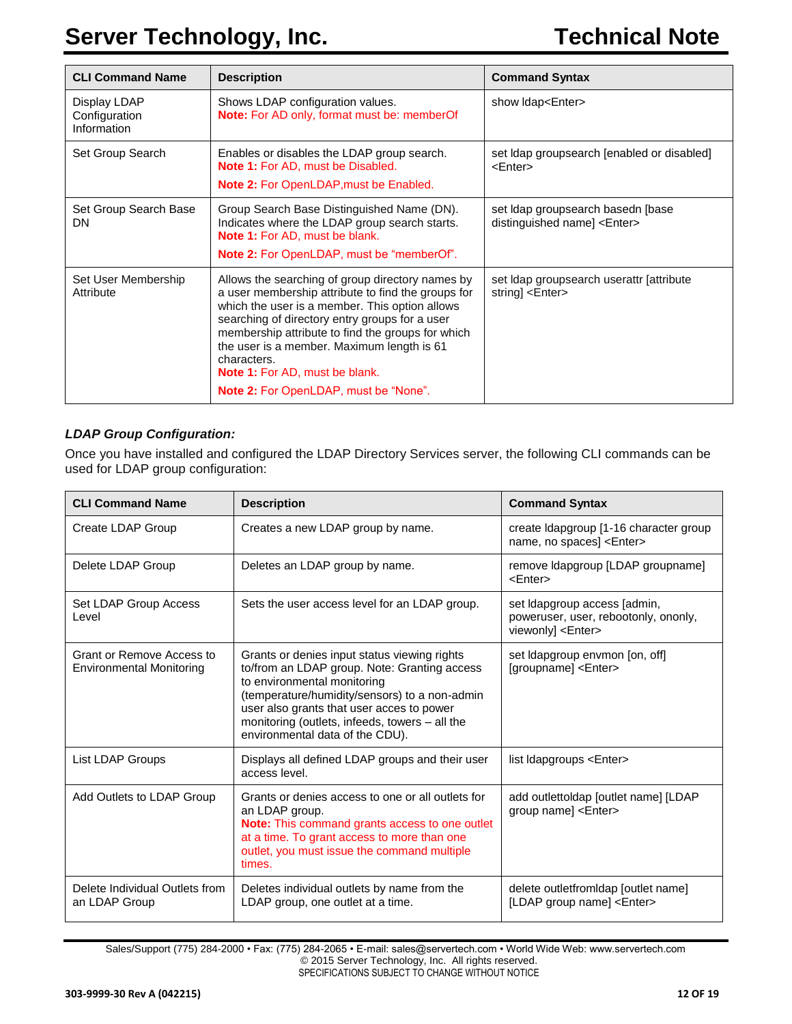# **Server Technology, Inc. Technical Note**

| <b>CLI Command Name</b>                      | <b>Description</b>                                                                                                                                                                                                                                                                                                                                                                                             | <b>Command Syntax</b>                                                    |
|----------------------------------------------|----------------------------------------------------------------------------------------------------------------------------------------------------------------------------------------------------------------------------------------------------------------------------------------------------------------------------------------------------------------------------------------------------------------|--------------------------------------------------------------------------|
| Display LDAP<br>Configuration<br>Information | Shows LDAP configuration values.<br><b>Note:</b> For AD only, format must be: memberOf                                                                                                                                                                                                                                                                                                                         | show Idap <enter></enter>                                                |
| Set Group Search                             | Enables or disables the LDAP group search.<br><b>Note 1: For AD, must be Disabled.</b><br>Note 2: For OpenLDAP, must be Enabled.                                                                                                                                                                                                                                                                               | set Idap groupsearch [enabled or disabled]<br>$<$ Enter $>$              |
| Set Group Search Base<br>DN                  | Group Search Base Distinguished Name (DN).<br>Indicates where the LDAP group search starts.<br>Note 1: For AD, must be blank.<br><b>Note 2:</b> For OpenLDAP, must be "memberOf".                                                                                                                                                                                                                              | set Idap groupsearch basedn [base<br>distinguished name] <enter></enter> |
| Set User Membership<br>Attribute             | Allows the searching of group directory names by<br>a user membership attribute to find the groups for<br>which the user is a member. This option allows<br>searching of directory entry groups for a user<br>membership attribute to find the groups for which<br>the user is a member. Maximum length is 61<br>characters.<br><b>Note 1: For AD, must be blank.</b><br>Note 2: For OpenLDAP, must be "None". | set Idap groupsearch userattr [attribute]<br>string] <enter></enter>     |

#### <span id="page-11-0"></span>*LDAP Group Configuration:*

Once you have installed and configured the LDAP Directory Services server, the following CLI commands can be used for LDAP group configuration:

| <b>CLI Command Name</b>                                      | <b>Description</b>                                                                                                                                                                                                                                                                                             | <b>Command Syntax</b>                                                                             |
|--------------------------------------------------------------|----------------------------------------------------------------------------------------------------------------------------------------------------------------------------------------------------------------------------------------------------------------------------------------------------------------|---------------------------------------------------------------------------------------------------|
| Create LDAP Group                                            | Creates a new LDAP group by name.                                                                                                                                                                                                                                                                              | create Idapgroup [1-16 character group<br>name, no spaces] <enter></enter>                        |
| Delete LDAP Group                                            | Deletes an LDAP group by name.                                                                                                                                                                                                                                                                                 | remove Idapgroup [LDAP groupname]<br><enter></enter>                                              |
| Set LDAP Group Access<br>Level                               | Sets the user access level for an LDAP group.                                                                                                                                                                                                                                                                  | set Idapgroup access [admin,<br>poweruser, user, rebootonly, ononly,<br>viewonly] <enter></enter> |
| Grant or Remove Access to<br><b>Environmental Monitoring</b> | Grants or denies input status viewing rights<br>to/from an LDAP group. Note: Granting access<br>to environmental monitoring<br>(temperature/humidity/sensors) to a non-admin<br>user also grants that user acces to power<br>monitoring (outlets, infeeds, towers - all the<br>environmental data of the CDU). | set Idapgroup envmon [on, off]<br>[groupname] <enter></enter>                                     |
| List LDAP Groups                                             | Displays all defined LDAP groups and their user<br>access level.                                                                                                                                                                                                                                               | list Idapgroups <enter></enter>                                                                   |
| Add Outlets to LDAP Group                                    | Grants or denies access to one or all outlets for<br>an LDAP group.<br><b>Note:</b> This command grants access to one outlet<br>at a time. To grant access to more than one<br>outlet, you must issue the command multiple<br>times.                                                                           | add outlettoldap [outlet name] [LDAP<br>group name] <enter></enter>                               |
| Delete Individual Outlets from<br>an LDAP Group              | Deletes individual outlets by name from the<br>LDAP group, one outlet at a time.                                                                                                                                                                                                                               | delete outletfromIdap [outlet name]<br>[LDAP group name] <enter></enter>                          |

Sales/Support (775) 284-2000 • Fax: (775) 284-2065 • E-mail: sales@servertech.com • World Wide Web: www.servertech.com © 2015 Server Technology, Inc. All rights reserved. SPECIFICATIONS SUBJECT TO CHANGE WITHOUT NOTICE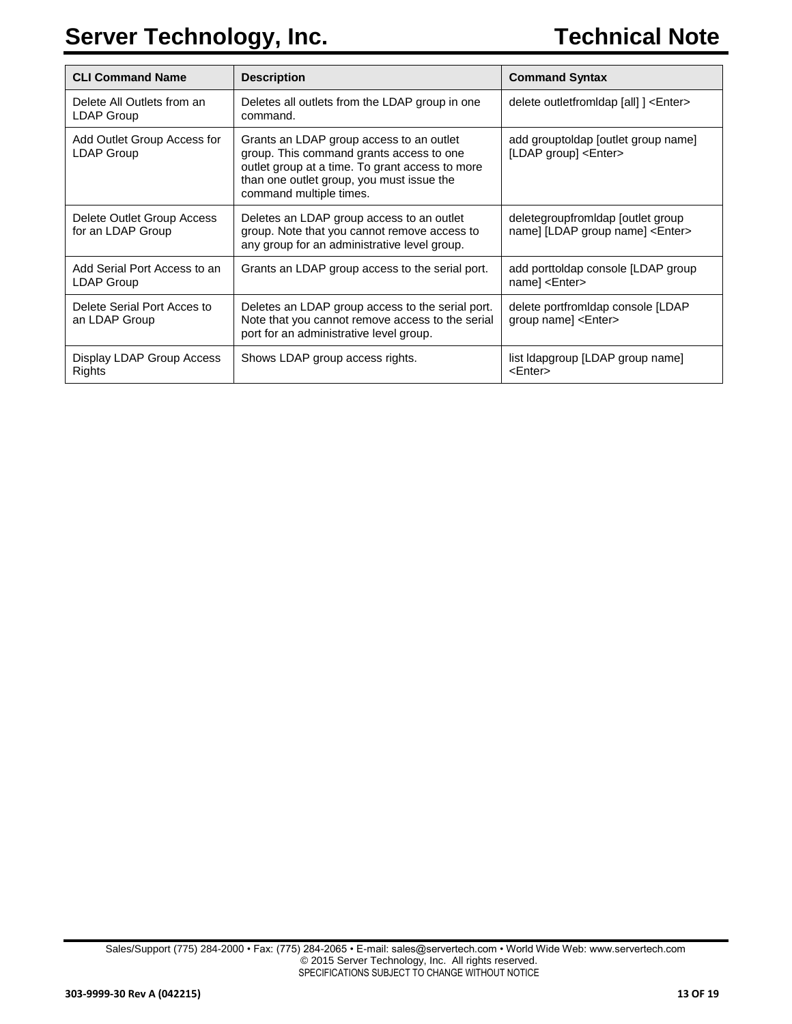| <b>CLI Command Name</b>                           | <b>Description</b>                                                                                                                                                                                              | <b>Command Syntax</b>                                                         |
|---------------------------------------------------|-----------------------------------------------------------------------------------------------------------------------------------------------------------------------------------------------------------------|-------------------------------------------------------------------------------|
| Delete All Outlets from an<br>LDAP Group          | Deletes all outlets from the LDAP group in one<br>command.                                                                                                                                                      | delete outletfrom dap [all] ] <enter></enter>                                 |
| Add Outlet Group Access for<br>LDAP Group         | Grants an LDAP group access to an outlet<br>group. This command grants access to one<br>outlet group at a time. To grant access to more<br>than one outlet group, you must issue the<br>command multiple times. | add grouptoldap [outlet group name]<br>[LDAP group] <enter></enter>           |
| Delete Outlet Group Access<br>for an LDAP Group   | Deletes an LDAP group access to an outlet<br>group. Note that you cannot remove access to<br>any group for an administrative level group.                                                                       | deletegroupfromidap [outlet group]<br>name] [LDAP group name] <enter></enter> |
| Add Serial Port Access to an<br><b>LDAP Group</b> | Grants an LDAP group access to the serial port.                                                                                                                                                                 | add porttoldap console [LDAP group<br>name] <enter></enter>                   |
| Delete Serial Port Acces to<br>an LDAP Group      | Deletes an LDAP group access to the serial port.<br>Note that you cannot remove access to the serial<br>port for an administrative level group.                                                                 | delete portfromldap console [LDAP<br>group name] <enter></enter>              |
| Display LDAP Group Access<br>Rights               | Shows LDAP group access rights.                                                                                                                                                                                 | list Idapgroup [LDAP group name]<br><enter></enter>                           |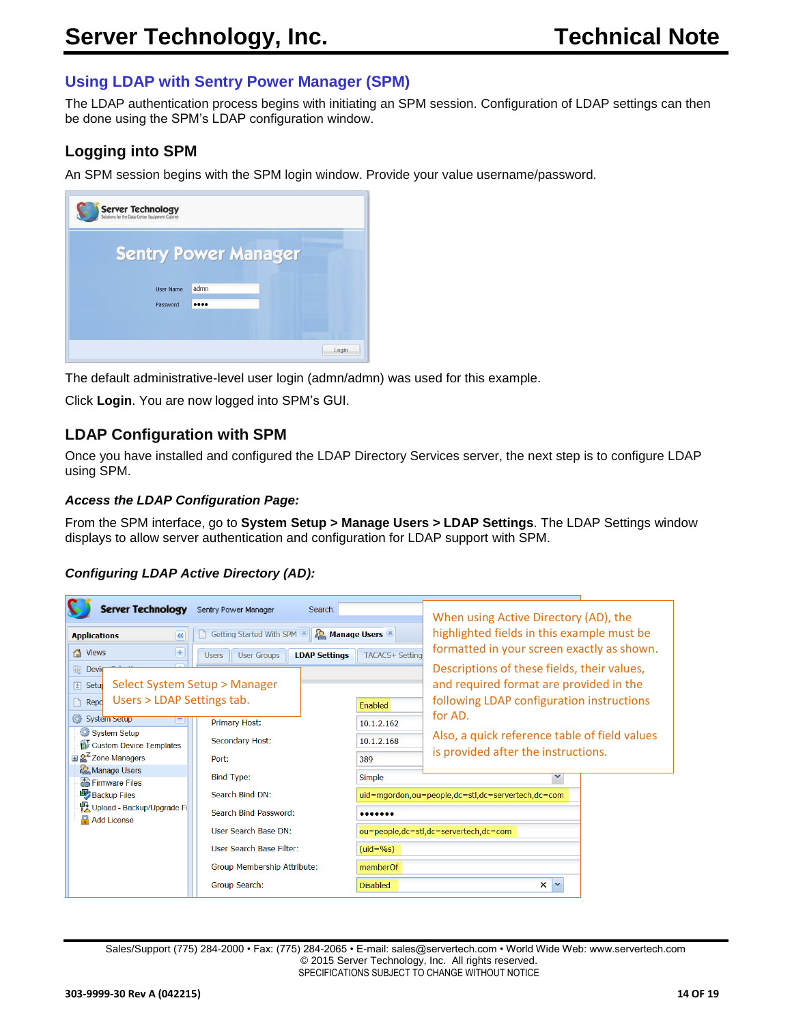# <span id="page-13-0"></span>**Using LDAP with Sentry Power Manager (SPM)**

The LDAP authentication process begins with initiating an SPM session. Configuration of LDAP settings can then be done using the SPM's LDAP configuration window.

# <span id="page-13-1"></span>**Logging into SPM**

An SPM session begins with the SPM login window. Provide your value username/password.

| <b>Server Technology</b><br>Solutions for the Data Center Equipment Cabinet |                  |                             |  |
|-----------------------------------------------------------------------------|------------------|-----------------------------|--|
|                                                                             |                  | <b>Sentry Power Manager</b> |  |
|                                                                             | <b>User Name</b> | admn                        |  |
|                                                                             | Password         |                             |  |
|                                                                             |                  |                             |  |
|                                                                             |                  |                             |  |

The default administrative-level user login (admn/admn) was used for this example.

Click **Login**. You are now logged into SPM's GUI.

### **LDAP Configuration with SPM**

Once you have installed and configured the LDAP Directory Services server, the next step is to configure LDAP using SPM.

#### *Access the LDAP Configuration Page:*

From the SPM interface, go to **System Setup > Manage Users > LDAP Settings**. The LDAP Settings window displays to allow server authentication and configuration for LDAP support with SPM.

#### <span id="page-13-2"></span>*Configuring LDAP Active Directory (AD):*

| <b>Server Technology</b>                                           | Sentry Power Manager<br>Search:                            |                          | When using Active Directory (AD), the                                                                                               |
|--------------------------------------------------------------------|------------------------------------------------------------|--------------------------|-------------------------------------------------------------------------------------------------------------------------------------|
| $\overline{\mathbf{K}}$<br><b>Applications</b>                     | Getting Started With SPM                                   | <b>R</b> Manage Users    | highlighted fields in this example must be                                                                                          |
| $\left( +\right)$<br><b>T</b> Views                                | <b>LDAP Settings</b><br><b>User Groups</b><br><b>Users</b> | <b>TACACS+ Setting</b>   | formatted in your screen exactly as shown.                                                                                          |
| <b>Eil</b> Devir<br>[±] Setu<br>Users > LDAP Settings tab.<br>Repd | Select System Setup > Manager                              | Enabled                  | Descriptions of these fields, their values,<br>and required format are provided in the<br>following LDAP configuration instructions |
| ◎<br>System Setup<br>System Setup<br>Custom Device Templates       | Primary Host:<br>Secondary Host:                           | 10.1.2.162<br>10.1.2.168 | for AD.<br>Also, a quick reference table of field values                                                                            |
| $\mathbb{R}^2$ Zone Managers<br>Manage Users                       | Port:                                                      | 389                      | is provided after the instructions.                                                                                                 |
| Firmware Files                                                     | <b>Bind Type:</b>                                          | <b>Simple</b>            |                                                                                                                                     |
| <b>Backup Files</b>                                                | Search Bind DN:                                            |                          | uid=mgordon,ou=people,dc=stl,dc=servertech,dc=com                                                                                   |
| et Upload - Backup/Upgrade Fi<br>Add License                       | Search Bind Password:                                      |                          |                                                                                                                                     |
|                                                                    | User Search Base DN:                                       |                          | ou=people,dc=stl,dc=servertech,dc=com                                                                                               |
|                                                                    | User Search Base Filter:                                   | $(uid=%s)$               |                                                                                                                                     |
|                                                                    | Group Membership Attribute:                                | memberOf                 |                                                                                                                                     |
|                                                                    | <b>Group Search:</b>                                       | <b>Disabled</b>          | $\mathsf{x}$                                                                                                                        |

Sales/Support (775) 284-2000 • Fax: (775) 284-2065 • E-mail: sales@servertech.com • World Wide Web: www.servertech.com © 2015 Server Technology, Inc. All rights reserved. SPECIFICATIONS SUBJECT TO CHANGE WITHOUT NOTICE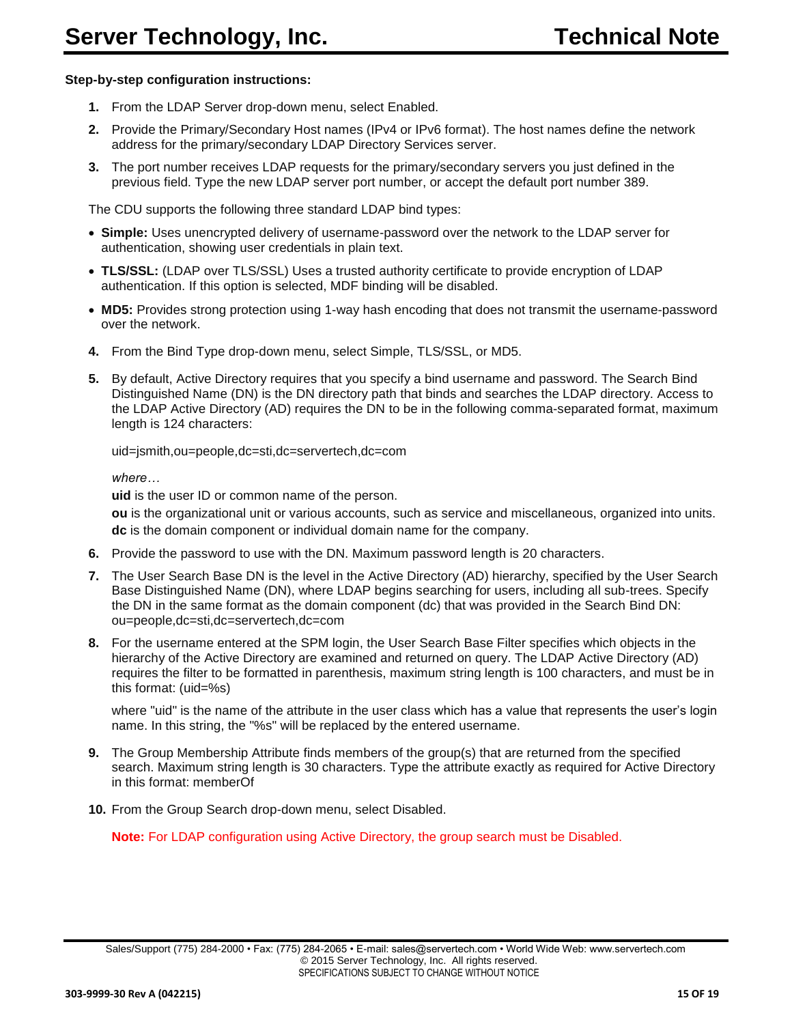#### **Step-by-step configuration instructions:**

- **1.** From the LDAP Server drop-down menu, select Enabled.
- **2.** Provide the Primary/Secondary Host names (IPv4 or IPv6 format). The host names define the network address for the primary/secondary LDAP Directory Services server.
- **3.** The port number receives LDAP requests for the primary/secondary servers you just defined in the previous field. Type the new LDAP server port number, or accept the default port number 389.

The CDU supports the following three standard LDAP bind types:

- **Simple:** Uses unencrypted delivery of username-password over the network to the LDAP server for authentication, showing user credentials in plain text.
- **TLS/SSL:** (LDAP over TLS/SSL) Uses a trusted authority certificate to provide encryption of LDAP authentication. If this option is selected, MDF binding will be disabled.
- **MD5:** Provides strong protection using 1-way hash encoding that does not transmit the username-password over the network.
- **4.** From the Bind Type drop-down menu, select Simple, TLS/SSL, or MD5.
- **5.** By default, Active Directory requires that you specify a bind username and password. The Search Bind Distinguished Name (DN) is the DN directory path that binds and searches the LDAP directory. Access to the LDAP Active Directory (AD) requires the DN to be in the following comma-separated format, maximum length is 124 characters:

uid=jsmith,ou=people,dc=sti,dc=servertech,dc=com

*where…*

**uid** is the user ID or common name of the person.

**ou** is the organizational unit or various accounts, such as service and miscellaneous, organized into units. **dc** is the domain component or individual domain name for the company.

- **6.** Provide the password to use with the DN. Maximum password length is 20 characters.
- **7.** The User Search Base DN is the level in the Active Directory (AD) hierarchy, specified by the User Search Base Distinguished Name (DN), where LDAP begins searching for users, including all sub-trees. Specify the DN in the same format as the domain component (dc) that was provided in the Search Bind DN: ou=people,dc=sti,dc=servertech,dc=com
- **8.** For the username entered at the SPM login, the User Search Base Filter specifies which objects in the hierarchy of the Active Directory are examined and returned on query. The LDAP Active Directory (AD) requires the filter to be formatted in parenthesis, maximum string length is 100 characters, and must be in this format: (uid=%s)

where "uid" is the name of the attribute in the user class which has a value that represents the user's login name. In this string, the "%s" will be replaced by the entered username.

- **9.** The Group Membership Attribute finds members of the group(s) that are returned from the specified search. Maximum string length is 30 characters. Type the attribute exactly as required for Active Directory in this format: memberOf
- **10.** From the Group Search drop-down menu, select Disabled.

**Note:** For LDAP configuration using Active Directory, the group search must be Disabled.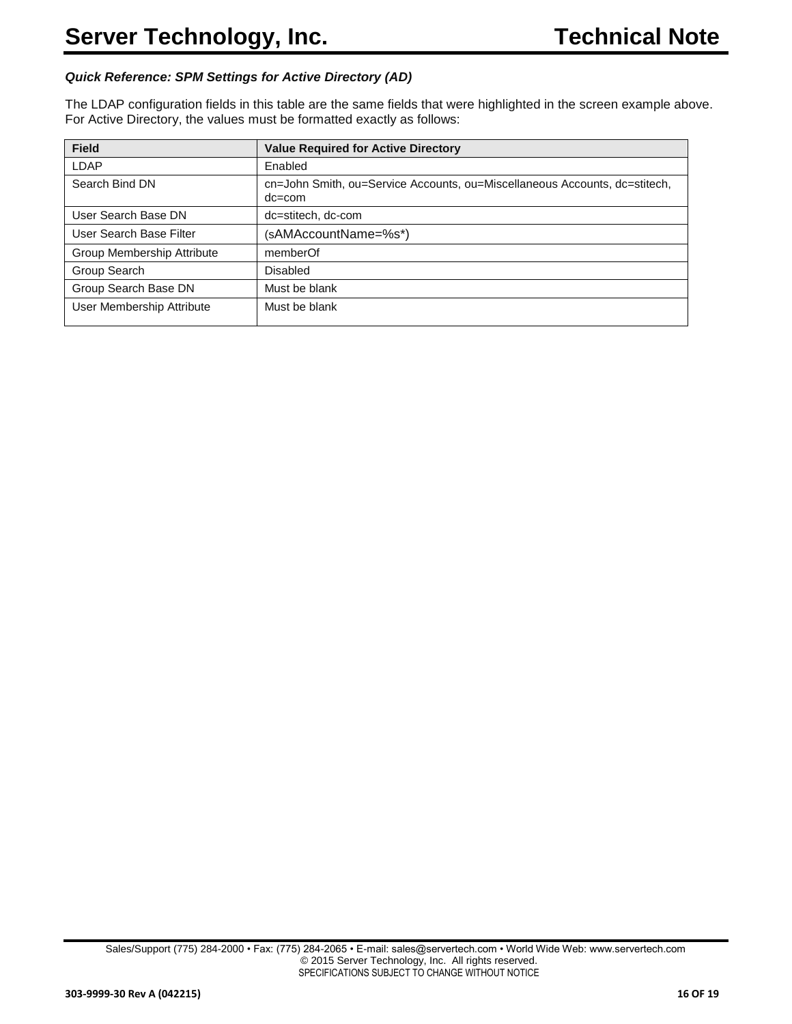#### *Quick Reference: SPM Settings for Active Directory (AD)*

The LDAP configuration fields in this table are the same fields that were highlighted in the screen example above. For Active Directory, the values must be formatted exactly as follows:

| <b>Field</b>               | <b>Value Required for Active Directory</b>                                               |
|----------------------------|------------------------------------------------------------------------------------------|
| LDAP                       | Enabled                                                                                  |
| Search Bind DN             | cn=John Smith, ou=Service Accounts, ou=Miscellaneous Accounts, dc=stitech,<br>$dc = com$ |
| User Search Base DN        | dc=stitech, dc-com                                                                       |
| User Search Base Filter    | (sAMAccountName=%s*)                                                                     |
| Group Membership Attribute | memberOf                                                                                 |
| Group Search               | <b>Disabled</b>                                                                          |
| Group Search Base DN       | Must be blank                                                                            |
| User Membership Attribute  | Must be blank                                                                            |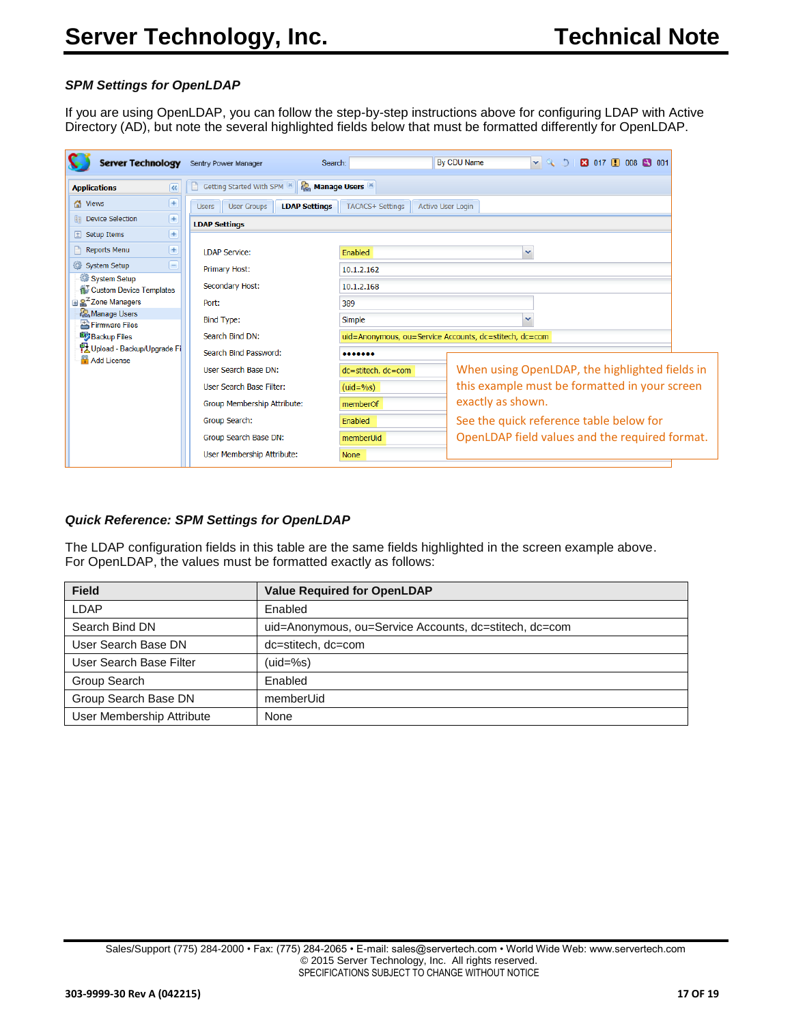#### <span id="page-16-0"></span>*SPM Settings for OpenLDAP*

If you are using OpenLDAP, you can follow the step-by-step instructions above for configuring LDAP with Active Directory (AD), but note the several highlighted fields below that must be formatted differently for OpenLDAP.

| <b>R</b> <sub>c</sub> Manage Users<br>Getting Started With SPM<br>K<br><b>Applications</b><br>$^{+}$<br>∧ Views<br><b>TACACS+ Settings</b><br><b>LDAP Settings</b><br><b>User Groups</b><br><b>Active User Login</b><br><b>Users</b><br>$\overline{+}$<br><b>Device Selection</b><br><b>Ba</b><br><b>LDAP Settings</b><br>$+$<br>$\boxed{\pm}$ Setup Items<br>$+$<br><b>Reports Menu</b><br><b>LDAP Service:</b><br>Enabled<br>System Setup<br>-<br>Primary Host:<br>10.1.2.162<br>System Setup<br>Secondary Host:<br>10.1.2.168<br><b>Custom Device Templates</b><br><b>⊞ &amp; Zone Managers</b><br>389<br>Port:<br>Manage Users<br>Simple<br><b>Bind Type:</b><br>Firmware Files<br>Search Bind DN:<br>uid=Anonymous, ou=Service Accounts, dc=stitech, dc=com<br><b>By Backup Files</b><br>만 Upload - Backup/Upgrade Fi<br>Search Bind Password:<br><br>Add License<br>User Search Base DN:<br>dc=stitech, dc=com<br>User Search Base Filter:<br>$(uid=9/6s)$<br>exactly as shown.<br>Group Membership Attribute:<br>memberOf<br>Group Search:<br>Enabled<br>See the quick reference table below for<br>Group Search Base DN:<br>memberUid<br>User Membership Attribute:<br><b>None</b> | <b>Server Technology</b> | Sentry Power Manager<br>Search: | $\sim$ 30<br><b>By CDU Name</b><br><b>E3</b> 017 1 008 3 001 |
|--------------------------------------------------------------------------------------------------------------------------------------------------------------------------------------------------------------------------------------------------------------------------------------------------------------------------------------------------------------------------------------------------------------------------------------------------------------------------------------------------------------------------------------------------------------------------------------------------------------------------------------------------------------------------------------------------------------------------------------------------------------------------------------------------------------------------------------------------------------------------------------------------------------------------------------------------------------------------------------------------------------------------------------------------------------------------------------------------------------------------------------------------------------------------------------------|--------------------------|---------------------------------|--------------------------------------------------------------|
| When using OpenLDAP, the highlighted fields in<br>this example must be formatted in your screen<br>OpenLDAP field values and the required format.                                                                                                                                                                                                                                                                                                                                                                                                                                                                                                                                                                                                                                                                                                                                                                                                                                                                                                                                                                                                                                          |                          |                                 |                                                              |
|                                                                                                                                                                                                                                                                                                                                                                                                                                                                                                                                                                                                                                                                                                                                                                                                                                                                                                                                                                                                                                                                                                                                                                                            |                          |                                 |                                                              |
|                                                                                                                                                                                                                                                                                                                                                                                                                                                                                                                                                                                                                                                                                                                                                                                                                                                                                                                                                                                                                                                                                                                                                                                            |                          |                                 |                                                              |
|                                                                                                                                                                                                                                                                                                                                                                                                                                                                                                                                                                                                                                                                                                                                                                                                                                                                                                                                                                                                                                                                                                                                                                                            |                          |                                 |                                                              |
|                                                                                                                                                                                                                                                                                                                                                                                                                                                                                                                                                                                                                                                                                                                                                                                                                                                                                                                                                                                                                                                                                                                                                                                            |                          |                                 |                                                              |
|                                                                                                                                                                                                                                                                                                                                                                                                                                                                                                                                                                                                                                                                                                                                                                                                                                                                                                                                                                                                                                                                                                                                                                                            |                          |                                 |                                                              |
|                                                                                                                                                                                                                                                                                                                                                                                                                                                                                                                                                                                                                                                                                                                                                                                                                                                                                                                                                                                                                                                                                                                                                                                            |                          |                                 |                                                              |
|                                                                                                                                                                                                                                                                                                                                                                                                                                                                                                                                                                                                                                                                                                                                                                                                                                                                                                                                                                                                                                                                                                                                                                                            |                          |                                 |                                                              |
|                                                                                                                                                                                                                                                                                                                                                                                                                                                                                                                                                                                                                                                                                                                                                                                                                                                                                                                                                                                                                                                                                                                                                                                            |                          |                                 |                                                              |
|                                                                                                                                                                                                                                                                                                                                                                                                                                                                                                                                                                                                                                                                                                                                                                                                                                                                                                                                                                                                                                                                                                                                                                                            |                          |                                 |                                                              |
|                                                                                                                                                                                                                                                                                                                                                                                                                                                                                                                                                                                                                                                                                                                                                                                                                                                                                                                                                                                                                                                                                                                                                                                            |                          |                                 |                                                              |
|                                                                                                                                                                                                                                                                                                                                                                                                                                                                                                                                                                                                                                                                                                                                                                                                                                                                                                                                                                                                                                                                                                                                                                                            |                          |                                 |                                                              |
|                                                                                                                                                                                                                                                                                                                                                                                                                                                                                                                                                                                                                                                                                                                                                                                                                                                                                                                                                                                                                                                                                                                                                                                            |                          |                                 |                                                              |
|                                                                                                                                                                                                                                                                                                                                                                                                                                                                                                                                                                                                                                                                                                                                                                                                                                                                                                                                                                                                                                                                                                                                                                                            |                          |                                 |                                                              |
|                                                                                                                                                                                                                                                                                                                                                                                                                                                                                                                                                                                                                                                                                                                                                                                                                                                                                                                                                                                                                                                                                                                                                                                            |                          |                                 |                                                              |
|                                                                                                                                                                                                                                                                                                                                                                                                                                                                                                                                                                                                                                                                                                                                                                                                                                                                                                                                                                                                                                                                                                                                                                                            |                          |                                 |                                                              |
|                                                                                                                                                                                                                                                                                                                                                                                                                                                                                                                                                                                                                                                                                                                                                                                                                                                                                                                                                                                                                                                                                                                                                                                            |                          |                                 |                                                              |

#### *Quick Reference: SPM Settings for OpenLDAP*

The LDAP configuration fields in this table are the same fields highlighted in the screen example above. For OpenLDAP, the values must be formatted exactly as follows:

| <b>Field</b>              | <b>Value Required for OpenLDAP</b>                     |
|---------------------------|--------------------------------------------------------|
| LDAP                      | Enabled                                                |
| Search Bind DN            | uid=Anonymous, ou=Service Accounts, dc=stitech, dc=com |
| User Search Base DN       | dc=stitech, dc=com                                     |
| User Search Base Filter   | $(uid=%s)$                                             |
| Group Search              | Enabled                                                |
| Group Search Base DN      | memberUid                                              |
| User Membership Attribute | None                                                   |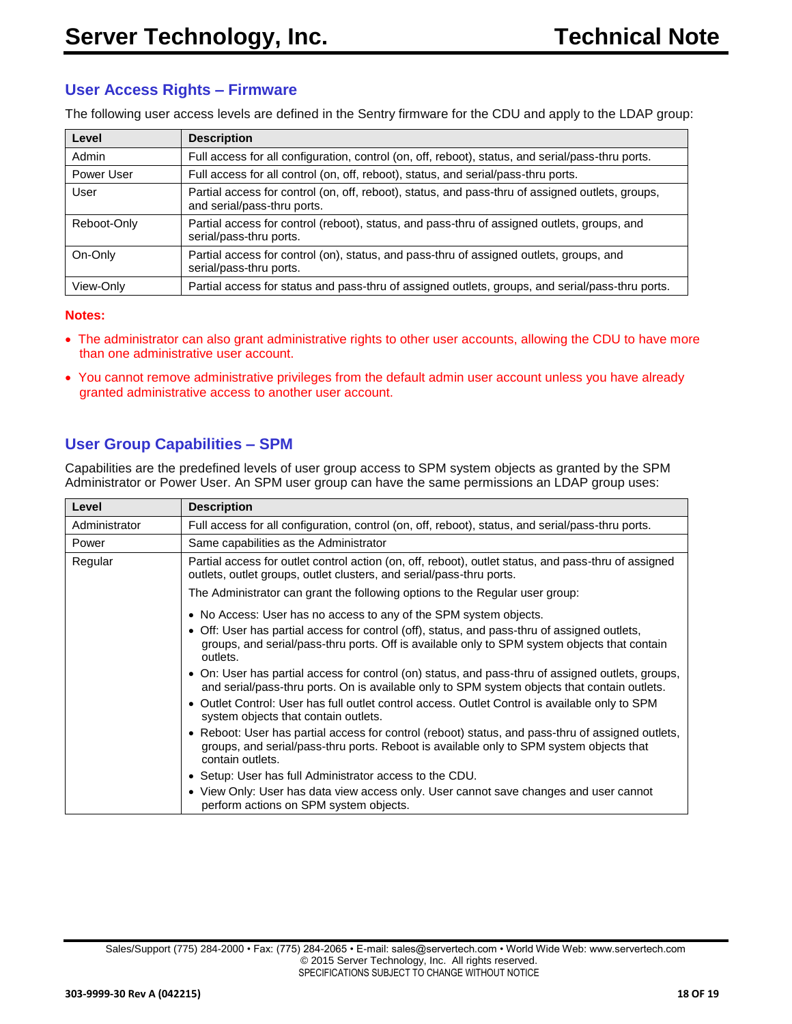# <span id="page-17-0"></span>**User Access Rights – Firmware**

The following user access levels are defined in the Sentry firmware for the CDU and apply to the LDAP group:

| Level       | <b>Description</b>                                                                                                              |
|-------------|---------------------------------------------------------------------------------------------------------------------------------|
| Admin       | Full access for all configuration, control (on, off, reboot), status, and serial/pass-thru ports.                               |
| Power User  | Full access for all control (on, off, reboot), status, and serial/pass-thru ports.                                              |
| User        | Partial access for control (on, off, reboot), status, and pass-thru of assigned outlets, groups,<br>and serial/pass-thru ports. |
| Reboot-Only | Partial access for control (reboot), status, and pass-thru of assigned outlets, groups, and<br>serial/pass-thru ports.          |
| On-Only     | Partial access for control (on), status, and pass-thru of assigned outlets, groups, and<br>serial/pass-thru ports.              |
| View-Only   | Partial access for status and pass-thru of assigned outlets, groups, and serial/pass-thru ports.                                |

#### **Notes:**

- The administrator can also grant administrative rights to other user accounts, allowing the CDU to have more than one administrative user account.
- You cannot remove administrative privileges from the default admin user account unless you have already granted administrative access to another user account.

# <span id="page-17-1"></span>**User Group Capabilities – SPM**

Capabilities are the predefined levels of user group access to SPM system objects as granted by the SPM Administrator or Power User. An SPM user group can have the same permissions an LDAP group uses:

| Level         | <b>Description</b>                                                                                                                                                                                                                                                                                                                                                                                                                                                                                                                                                                                                           |  |  |  |
|---------------|------------------------------------------------------------------------------------------------------------------------------------------------------------------------------------------------------------------------------------------------------------------------------------------------------------------------------------------------------------------------------------------------------------------------------------------------------------------------------------------------------------------------------------------------------------------------------------------------------------------------------|--|--|--|
| Administrator | Full access for all configuration, control (on, off, reboot), status, and serial/pass-thru ports.                                                                                                                                                                                                                                                                                                                                                                                                                                                                                                                            |  |  |  |
| Power         | Same capabilities as the Administrator                                                                                                                                                                                                                                                                                                                                                                                                                                                                                                                                                                                       |  |  |  |
| Regular       | Partial access for outlet control action (on, off, reboot), outlet status, and pass-thru of assigned<br>outlets, outlet groups, outlet clusters, and serial/pass-thru ports.                                                                                                                                                                                                                                                                                                                                                                                                                                                 |  |  |  |
|               | The Administrator can grant the following options to the Regular user group:                                                                                                                                                                                                                                                                                                                                                                                                                                                                                                                                                 |  |  |  |
|               | • No Access: User has no access to any of the SPM system objects.<br>• Off: User has partial access for control (off), status, and pass-thru of assigned outlets,<br>groups, and serial/pass-thru ports. Off is available only to SPM system objects that contain<br>outlets.<br>• On: User has partial access for control (on) status, and pass-thru of assigned outlets, groups,<br>and serial/pass-thru ports. On is available only to SPM system objects that contain outlets.<br>• Outlet Control: User has full outlet control access. Outlet Control is available only to SPM<br>system objects that contain outlets. |  |  |  |
|               | • Reboot: User has partial access for control (reboot) status, and pass-thru of assigned outlets,<br>groups, and serial/pass-thru ports. Reboot is available only to SPM system objects that<br>contain outlets.                                                                                                                                                                                                                                                                                                                                                                                                             |  |  |  |
|               | • Setup: User has full Administrator access to the CDU.                                                                                                                                                                                                                                                                                                                                                                                                                                                                                                                                                                      |  |  |  |
|               | • View Only: User has data view access only. User cannot save changes and user cannot<br>perform actions on SPM system objects.                                                                                                                                                                                                                                                                                                                                                                                                                                                                                              |  |  |  |